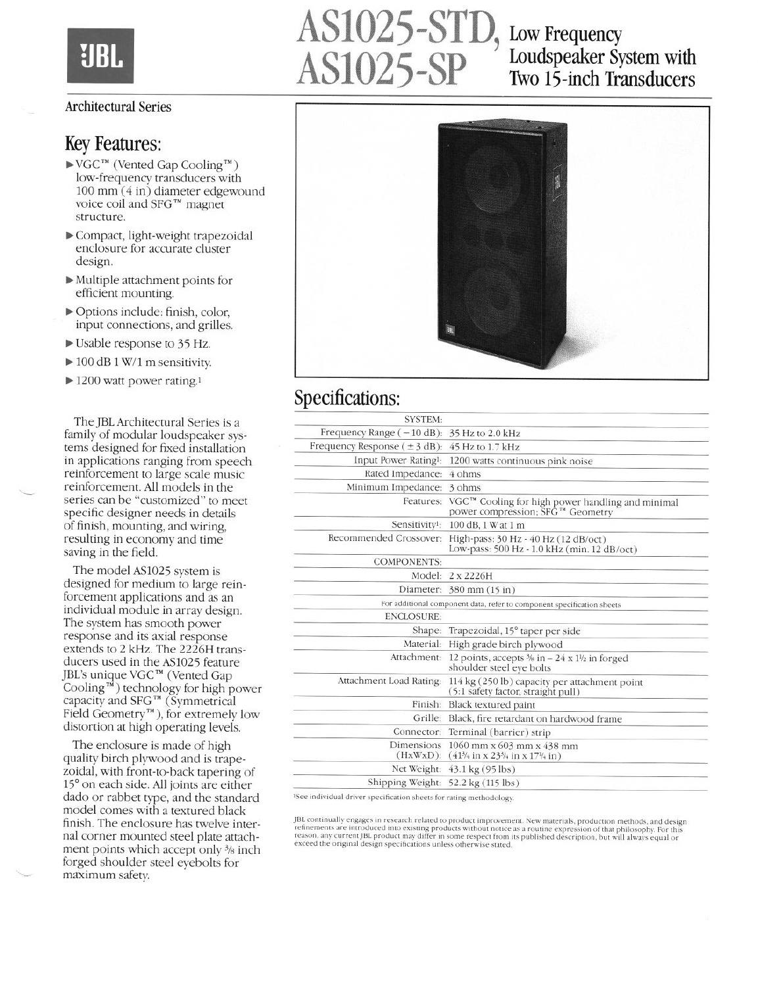

#### Architectural Series

#### Key Features:

- $\blacktriangleright$  VGC<sup>TM</sup> (Vented Gap Cooling<sup>TM</sup>) low-frequency transducers with 100 mm (4 in) diameter edgewound voice coil and SFG™ magnet structure.
- b Compact, light-weight trapezoidal enclosure for accurate cluster design.
- b Multiple attachment points for efficient mounting.
- b Options include: finish, color, input connections, and grilles.
- b Usable response to 35 Hz.
- $\triangleright$  100 dB 1 W/1 m sensitivity.
- $\blacktriangleright$  1200 watt power rating.<sup>1</sup>

The JBL Architectural Series is a family of modular loudspeaker systems designed for fixed installation in applications ranging from speech reinforcement to large scale music reinforcement. All models in the series can be "customized" to meet specific designer needs in details of finish, mounting, and wiring, resulting in economy and time saving in the field.

The model AS1025 system is designed for medium to large reinforcement applications and as an individual module in array design. The system has smooth power response and its axial response extends to 2 kHz. The 2226H transducers used in the AS1025 feature JBL's unique VGC'" (Vented Gap Cooling<sup> $\vec{m}$ </sup>) technology for high power capacity and SFG™ (Symmetrical Field Geometry'"), for extremely low distortion at high operating levels.

The enclosure is made of high quality birch plywood and is trapezoidal, with front-to-back tapering of 15° on each side. All joints are either dado or rabbet type, and the standard model comes with a textured black finish. The enclosure has twelve internal corner mounted steel plate attachment points which accept only  $\frac{3}{8}$  inch forged shoulder steel eyebolts for maximum safety.

# AS1025-STD, Low Frequency<br>AS1025-SP Loudspeaker Sy Loudspeaker System with Two 15-inch Transducers



## Specifications:

| <b>SYSTEM:</b>                                                                                                 |                                                                                                                                         |
|----------------------------------------------------------------------------------------------------------------|-----------------------------------------------------------------------------------------------------------------------------------------|
| Frequency Range $(-10 \text{ dB})$ : 35 Hz to 2.0 kHz                                                          |                                                                                                                                         |
| Frequency Response $(\pm 3$ dB): 45 Hz to 1.7 kHz                                                              |                                                                                                                                         |
| Input Power Rating <sup>1</sup> :                                                                              | 1200 watts continuous pink noise                                                                                                        |
| Rated Impedance:                                                                                               | 4 ohms                                                                                                                                  |
| Minimum Impedance:                                                                                             | 3 ohms                                                                                                                                  |
| Features:                                                                                                      | VGC <sup>™</sup> Cooling for high power handling and minimal<br>power compression; SFG™ Geometry                                        |
|                                                                                                                | Sensitivity <sup>1</sup> : 100 dB, 1 W at 1 m                                                                                           |
|                                                                                                                | Recommended Crossover: High-pass: 30 Hz - 40 Hz (12 dB/oct)<br>Low-pass: 500 Hz - 1.0 kHz (min. 12 dB/oct)                              |
| <b>COMPONENTS:</b>                                                                                             |                                                                                                                                         |
|                                                                                                                | Model: 2 x 2226H                                                                                                                        |
|                                                                                                                | Diameter: 380 mm (15 in)                                                                                                                |
|                                                                                                                | For additional component data, refer to component specification sheets                                                                  |
| <b>ENCLOSURE:</b>                                                                                              |                                                                                                                                         |
|                                                                                                                | Shape: Trapezoidal, 15° taper per side                                                                                                  |
|                                                                                                                | Material: High grade birch plywood                                                                                                      |
|                                                                                                                | Attachment: 12 points, accepts $\frac{3}{6}$ in $- 24 \times 1\frac{1}{2}$ in forged<br>shoulder steel eye bolts                        |
|                                                                                                                | Attachment Load Rating: 114 kg (250 lb) capacity per attachment point<br>(5:1 safety factor, straight pull)                             |
|                                                                                                                | Finish: Black textured paint                                                                                                            |
|                                                                                                                | Grille: Black, fire retardant on hardwood frame                                                                                         |
|                                                                                                                | Connector: Terminal (barrier) strip                                                                                                     |
| $(HxWxD)$ :                                                                                                    | Dimensions $1060$ mm x 603 mm x 438 mm<br>$(41\frac{3}{4}$ in x 23 <sup>3</sup> / <sub>4</sub> in x 17 <sup>1</sup> / <sub>4</sub> in ) |
|                                                                                                                | Net Weight: 43.1 kg (95 lbs)                                                                                                            |
| Shipping Weight: 52.2 kg (115 lbs)                                                                             |                                                                                                                                         |
| $50^\circ$ $\rightarrow$ $10^\circ$ $\rightarrow$ $10^\circ$ $\rightarrow$ $10^\circ$ $\rightarrow$ $10^\circ$ |                                                                                                                                         |

<sup>1</sup>See individual driver specification sheets for rating methodology

TBL continually engages in research related to product improvement. New materials, production methods, and desig<br>refinements are introduced into existing products without notice as a routine expression of that philosophy. exceed the original design specifications unless otherwise stated.